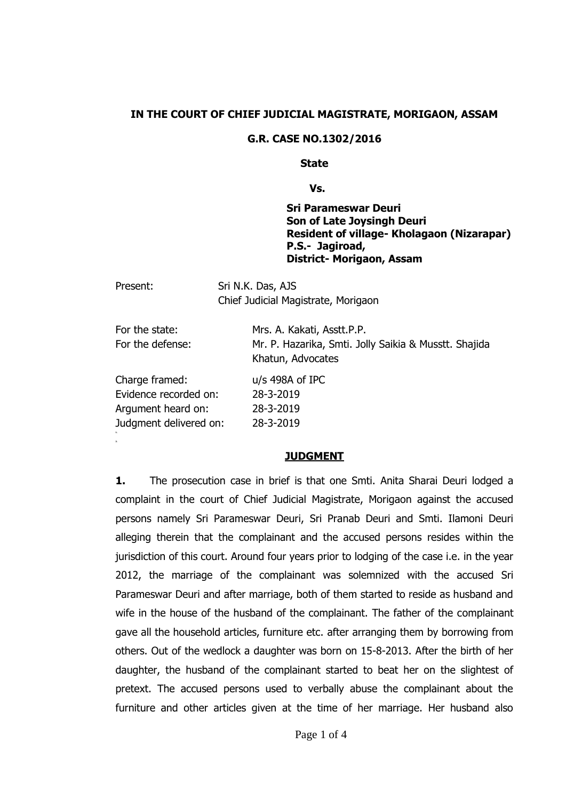### **IN THE COURT OF CHIEF JUDICIAL MAGISTRATE, MORIGAON, ASSAM**

#### **G.R. CASE NO.1302/2016**

#### **State**

**Vs.**

**Sri Parameswar Deuri Son of Late Joysingh Deuri Resident of village- Kholagaon (Nizarapar) P.S.- Jagiroad, District- Morigaon, Assam** 

| Present:                                                                                | Sri N.K. Das, AJS<br>Chief Judicial Magistrate, Morigaon                                                 |
|-----------------------------------------------------------------------------------------|----------------------------------------------------------------------------------------------------------|
| For the state:<br>For the defense:                                                      | Mrs. A. Kakati, Asstt.P.P.<br>Mr. P. Hazarika, Smti. Jolly Saikia & Musstt. Shajida<br>Khatun, Advocates |
| Charge framed:<br>Evidence recorded on:<br>Argument heard on:<br>Judgment delivered on: | $u/s$ 498A of IPC<br>28-3-2019<br>28-3-2019<br>28-3-2019                                                 |

#### **JUDGMENT**

**2.**

**1.** The prosecution case in brief is that one Smti. Anita Sharai Deuri lodged a complaint in the court of Chief Judicial Magistrate, Morigaon against the accused persons namely Sri Parameswar Deuri, Sri Pranab Deuri and Smti. Ilamoni Deuri alleging therein that the complainant and the accused persons resides within the jurisdiction of this court. Around four years prior to lodging of the case i.e. in the year 2012, the marriage of the complainant was solemnized with the accused Sri Parameswar Deuri and after marriage, both of them started to reside as husband and wife in the house of the husband of the complainant. The father of the complainant gave all the household articles, furniture etc. after arranging them by borrowing from others. Out of the wedlock a daughter was born on 15-8-2013. After the birth of her daughter, the husband of the complainant started to beat her on the slightest of pretext. The accused persons used to verbally abuse the complainant about the furniture and other articles given at the time of her marriage. Her husband also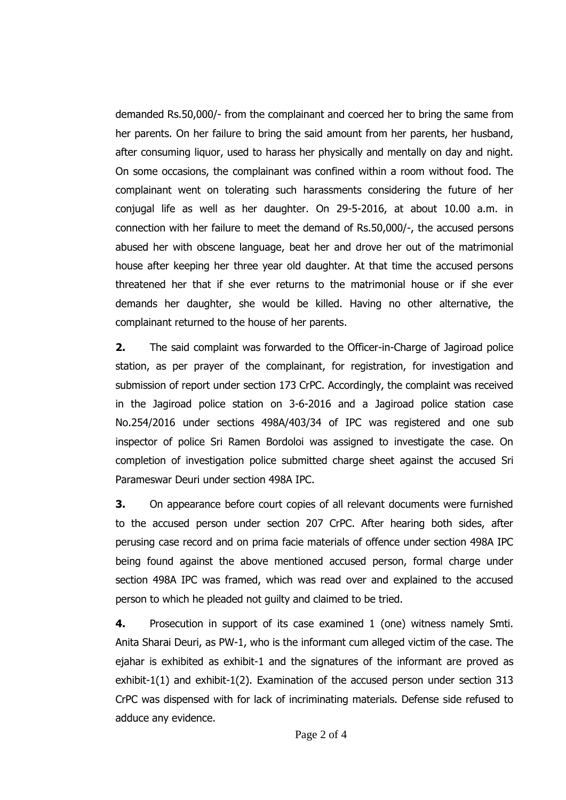demanded Rs.50,000/- from the complainant and coerced her to bring the same from her parents. On her failure to bring the said amount from her parents, her husband, after consuming liquor, used to harass her physically and mentally on day and night. On some occasions, the complainant was confined within a room without food. The complainant went on tolerating such harassments considering the future of her conjugal life as well as her daughter. On 29-5-2016, at about 10.00 a.m. in connection with her failure to meet the demand of Rs.50,000/-, the accused persons abused her with obscene language, beat her and drove her out of the matrimonial house after keeping her three year old daughter. At that time the accused persons threatened her that if she ever returns to the matrimonial house or if she ever demands her daughter, she would be killed. Having no other alternative, the complainant returned to the house of her parents.

**2.** The said complaint was forwarded to the Officer-in-Charge of Jagiroad police station, as per prayer of the complainant, for registration, for investigation and submission of report under section 173 CrPC. Accordingly, the complaint was received in the Jagiroad police station on 3-6-2016 and a Jagiroad police station case No.254/2016 under sections 498A/403/34 of IPC was registered and one sub inspector of police Sri Ramen Bordoloi was assigned to investigate the case. On completion of investigation police submitted charge sheet against the accused Sri Parameswar Deuri under section 498A IPC.

**3.** On appearance before court copies of all relevant documents were furnished to the accused person under section 207 CrPC. After hearing both sides, after perusing case record and on prima facie materials of offence under section 498A IPC being found against the above mentioned accused person, formal charge under section 498A IPC was framed, which was read over and explained to the accused person to which he pleaded not guilty and claimed to be tried.

**4.** Prosecution in support of its case examined 1 (one) witness namely Smti. Anita Sharai Deuri, as PW-1, who is the informant cum alleged victim of the case. The ejahar is exhibited as exhibit-1 and the signatures of the informant are proved as exhibit-1(1) and exhibit-1(2). Examination of the accused person under section 313 CrPC was dispensed with for lack of incriminating materials. Defense side refused to adduce any evidence.

Page 2 of 4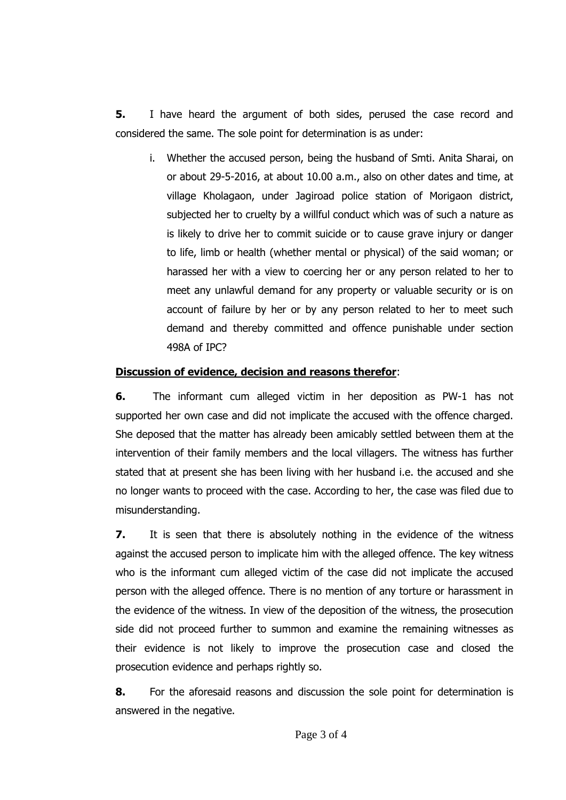**5.** I have heard the argument of both sides, perused the case record and considered the same. The sole point for determination is as under:

i. Whether the accused person, being the husband of Smti. Anita Sharai, on or about 29-5-2016, at about 10.00 a.m., also on other dates and time, at village Kholagaon, under Jagiroad police station of Morigaon district, subjected her to cruelty by a willful conduct which was of such a nature as is likely to drive her to commit suicide or to cause grave injury or danger to life, limb or health (whether mental or physical) of the said woman; or harassed her with a view to coercing her or any person related to her to meet any unlawful demand for any property or valuable security or is on account of failure by her or by any person related to her to meet such demand and thereby committed and offence punishable under section 498A of IPC?

## **Discussion of evidence, decision and reasons therefor**:

**6.** The informant cum alleged victim in her deposition as PW-1 has not supported her own case and did not implicate the accused with the offence charged. She deposed that the matter has already been amicably settled between them at the intervention of their family members and the local villagers. The witness has further stated that at present she has been living with her husband i.e. the accused and she no longer wants to proceed with the case. According to her, the case was filed due to misunderstanding.

**7.** It is seen that there is absolutely nothing in the evidence of the witness against the accused person to implicate him with the alleged offence. The key witness who is the informant cum alleged victim of the case did not implicate the accused person with the alleged offence. There is no mention of any torture or harassment in the evidence of the witness. In view of the deposition of the witness, the prosecution side did not proceed further to summon and examine the remaining witnesses as their evidence is not likely to improve the prosecution case and closed the prosecution evidence and perhaps rightly so.

**8.** For the aforesaid reasons and discussion the sole point for determination is answered in the negative.